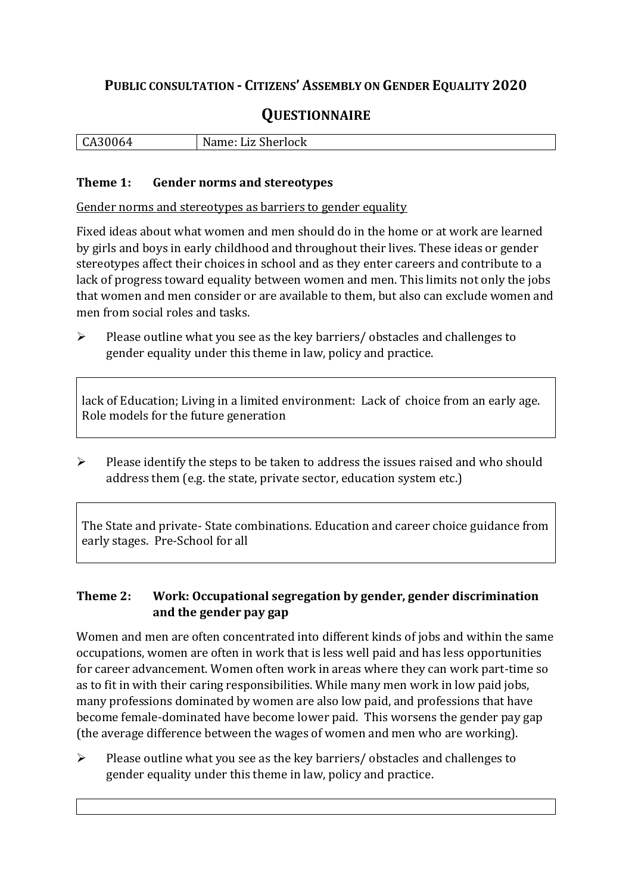## **PUBLIC CONSULTATION - CITIZENS' ASSEMBLY ON GENDER EQUALITY 2020**

# **QUESTIONNAIRE**

| $\mathbf{r}$<br>ື້ | N<br>Sherlock<br>பட<br>. .<br> |
|--------------------|--------------------------------|
|                    |                                |

#### **Theme 1: Gender norms and stereotypes**

Gender norms and stereotypes as barriers to gender equality

Fixed ideas about what women and men should do in the home or at work are learned by girls and boys in early childhood and throughout their lives. These ideas or gender stereotypes affect their choices in school and as they enter careers and contribute to a lack of progress toward equality between women and men. This limits not only the jobs that women and men consider or are available to them, but also can exclude women and men from social roles and tasks.

➢ Please outline what you see as the key barriers/ obstacles and challenges to gender equality under this theme in law, policy and practice.

lack of Education; Living in a limited environment: Lack of choice from an early age. Role models for the future generation

➢ Please identify the steps to be taken to address the issues raised and who should address them (e.g. the state, private sector, education system etc.)

The State and private- State combinations. Education and career choice guidance from early stages. Pre-School for all

### **Theme 2: Work: Occupational segregation by gender, gender discrimination and the gender pay gap**

Women and men are often concentrated into different kinds of jobs and within the same occupations, women are often in work that is less well paid and has less opportunities for career advancement. Women often work in areas where they can work part-time so as to fit in with their caring responsibilities. While many men work in low paid jobs, many professions dominated by women are also low paid, and professions that have become female-dominated have become lower paid. This worsens the gender pay gap (the average difference between the wages of women and men who are working).

➢ Please outline what you see as the key barriers/ obstacles and challenges to gender equality under this theme in law, policy and practice.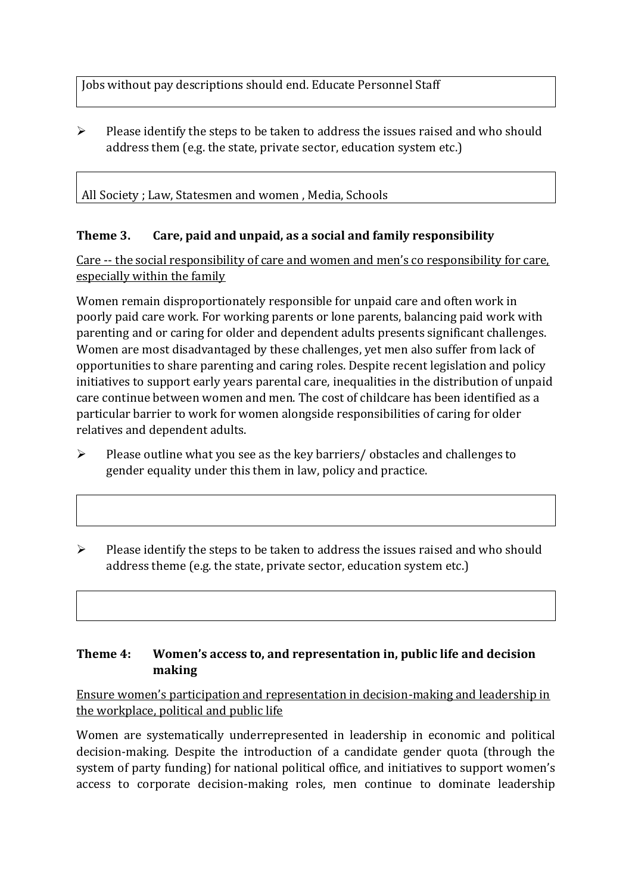Jobs without pay descriptions should end. Educate Personnel Staff

➢ Please identify the steps to be taken to address the issues raised and who should address them (e.g. the state, private sector, education system etc.)

### All Society ; Law, Statesmen and women , Media, Schools

### **Theme 3. Care, paid and unpaid, as a social and family responsibility**

Care -- the social responsibility of care and women and men's co responsibility for care, especially within the family

Women remain disproportionately responsible for unpaid care and often work in poorly paid care work. For working parents or [lone parents,](https://aran.library.nuigalway.ie/bitstream/handle/10379/6044/Millar_and_Crosse_Activation_Report.pdf?sequence=1&isAllowed=y) balancing paid work with parenting and or caring for older and dependent adults presents significant challenges. Women are [most disadvantaged by these challenges,](https://eige.europa.eu/gender-equality-index/game/IE/W) yet men also suffer from lack of opportunities to share parenting and caring roles. Despite recent legislation and policy initiatives to support early years parental care, [inequalities in the distribution of unpaid](https://www.ihrec.ie/app/uploads/2019/07/Caring-and-Unpaid-Work-in-Ireland_Final.pdf)  [care](https://www.ihrec.ie/app/uploads/2019/07/Caring-and-Unpaid-Work-in-Ireland_Final.pdf) continue between women and men. The cost of childcare has been identified as a particular barrier to work for women alongside responsibilities of caring for older relatives and dependent adults.

- ➢ Please outline what you see as the key barriers/ obstacles and challenges to gender equality under this them in law, policy and practice.
- ➢ Please identify the steps to be taken to address the issues raised and who should address theme (e.g. the state, private sector, education system etc.)

### **Theme 4: Women's access to, and representation in, public life and decision making**

Ensure women's participation and representation in decision-making and leadership in the workplace, political and public life

Women are systematically underrepresented in leadership in [economic](https://eige.europa.eu/gender-equality-index/2019/compare-countries/power/2/bar) and [political](https://eige.europa.eu/gender-equality-index/2019/compare-countries/power/1/bar)  [decision-](https://eige.europa.eu/gender-equality-index/2019/compare-countries/power/1/bar)making. Despite the introduction of a candidate gender quota (through the system of party funding) for national political office, and [initiatives](https://betterbalance.ie/) to support women's access to corporate decision-making roles, men continue to dominate leadership